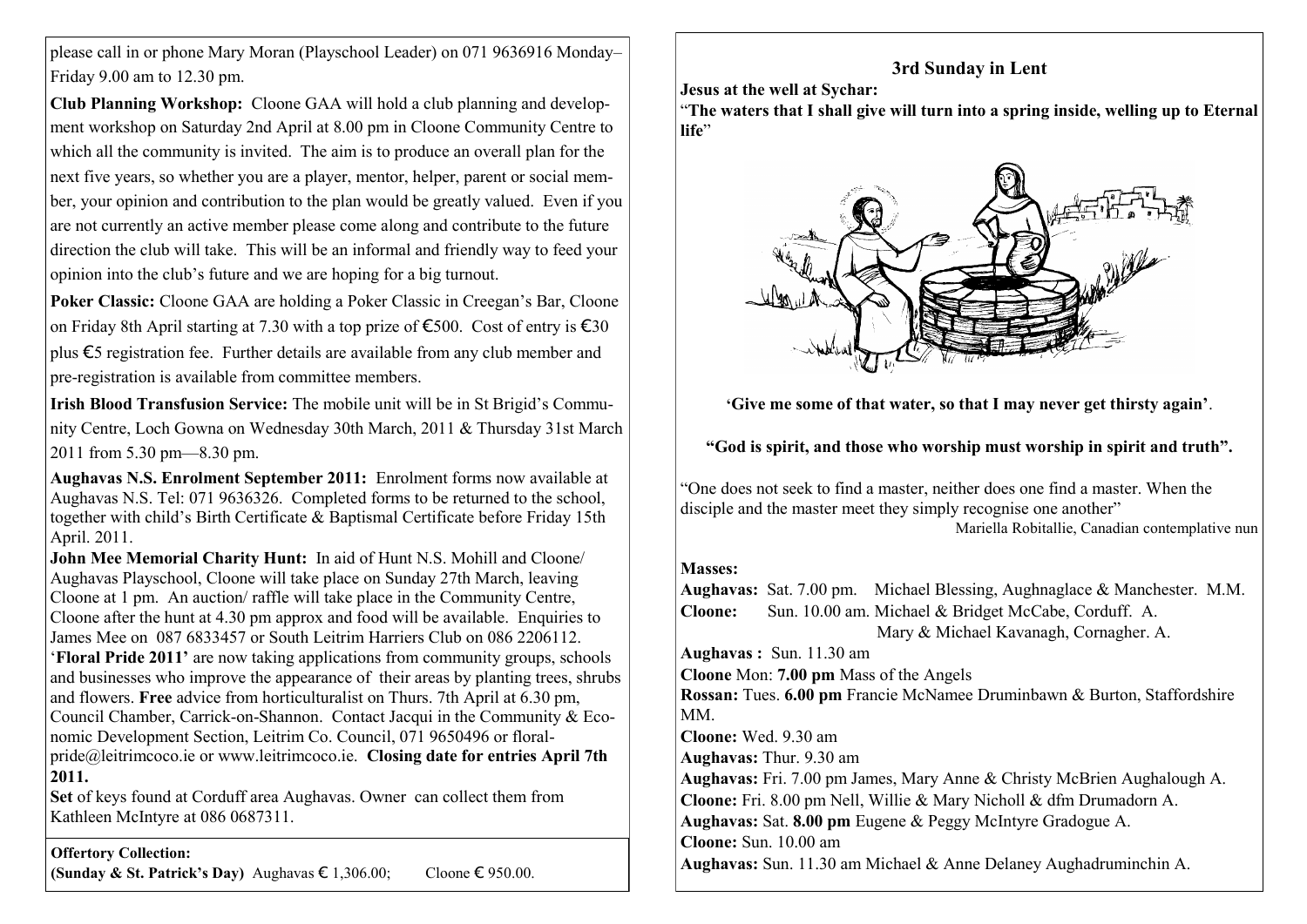please call in or phone Mary Moran (Playschool Leader) on 071 9636916 Monday– Friday 9.00 am to 12.30 pm.

**Club Planning Workshop:** Cloone GAA will hold a club planning and development workshop on Saturday 2nd April at 8.00 pm in Cloone Community Centre to which all the community is invited. The aim is to produce an overall plan for the next five years, so whether you are a player, mentor, helper, parent or social member, your opinion and contribution to the plan would be greatly valued. Even if you are not currently an active member please come along and contribute to the future direction the club will take. This will be an informal and friendly way to feed your opinion into the club's future and we are hoping for a big turnout.

**Poker Classic:** Cloone GAA are holding a Poker Classic in Creegan's Bar, Cloone on Friday 8th April starting at 7.30 with a top prize of €500. Cost of entry is €30 plus €5 registration fee. Further details are available from any club member and pre-registration is available from committee members.

**Irish Blood Transfusion Service:** The mobile unit will be in St Brigid's Community Centre, Loch Gowna on Wednesday 30th March, 2011 & Thursday 31st March 2011 from 5.30 pm—8.30 pm.

**Aughavas N.S. Enrolment September 2011:** Enrolment forms now available at Aughavas N.S. Tel: 071 9636326. Completed forms to be returned to the school, together with child's Birth Certificate & Baptismal Certificate before Friday 15th April. 2011.

**John Mee Memorial Charity Hunt:** In aid of Hunt N.S. Mohill and Cloone/ Aughavas Playschool, Cloone will take place on Sunday 27th March, leaving Cloone at 1 pm. An auction/ raffle will take place in the Community Centre, Cloone after the hunt at 4.30 pm approx and food will be available. Enquiries to James Mee on 087 6833457 or South Leitrim Harriers Club on 086 2206112. ‗**Floral Pride 2011"** are now taking applications from community groups, schools and businesses who improve the appearance of their areas by planting trees, shrubs and flowers. **Free** advice from horticulturalist on Thurs. 7th April at 6.30 pm, Council Chamber, Carrick-on-Shannon. Contact Jacqui in the Community & Economic Development Section, Leitrim Co. Council, 071 9650496 or floralpride@leitrimcoco.ie or www.leitrimcoco.ie. **Closing date for entries April 7th 2011.**

**Set** of keys found at Corduff area Aughavas. Owner can collect them from Kathleen McIntyre at 086 0687311.

**Offertory Collection:**

**(Sunday & St. Patrick's Day)** Aughavas  $\epsilon$  1,306.00; Cloone  $\epsilon$  950.00.

## **3rd Sunday in Lent**

**Jesus at the well at Sychar:**

―**The waters that I shall give will turn into a spring inside, welling up to Eternal**  life<sup>?</sup>



**"Give me some of that water, so that I may never get thirsty again"**.

**"God is spirit, and those who worship must worship in spirit and truth".**

―One does not seek to find a master, neither does one find a master. When the disciple and the master meet they simply recognise one another"

Mariella Robitallie, Canadian contemplative nun

## **Masses:**

**Aughavas:** Sat. 7.00 pm. Michael Blessing, Aughnaglace & Manchester. M.M. **Cloone:** Sun. 10.00 am. Michael & Bridget McCabe, Corduff. A. Mary & Michael Kavanagh, Cornagher. A.

**Aughavas :** Sun. 11.30 am **Cloone** Mon: **7.00 pm** Mass of the Angels **Rossan:** Tues. **6.00 pm** Francie McNamee Druminbawn & Burton, Staffordshire MM. **Cloone:** Wed. 9.30 am **Aughavas:** Thur. 9.30 am **Aughavas:** Fri. 7.00 pm James, Mary Anne & Christy McBrien Aughalough A. **Cloone:** Fri. 8.00 pm Nell, Willie & Mary Nicholl & dfm Drumadorn A. **Aughavas:** Sat. **8.00 pm** Eugene & Peggy McIntyre Gradogue A. **Cloone:** Sun. 10.00 am **Aughavas:** Sun. 11.30 am Michael & Anne Delaney Aughadruminchin A.